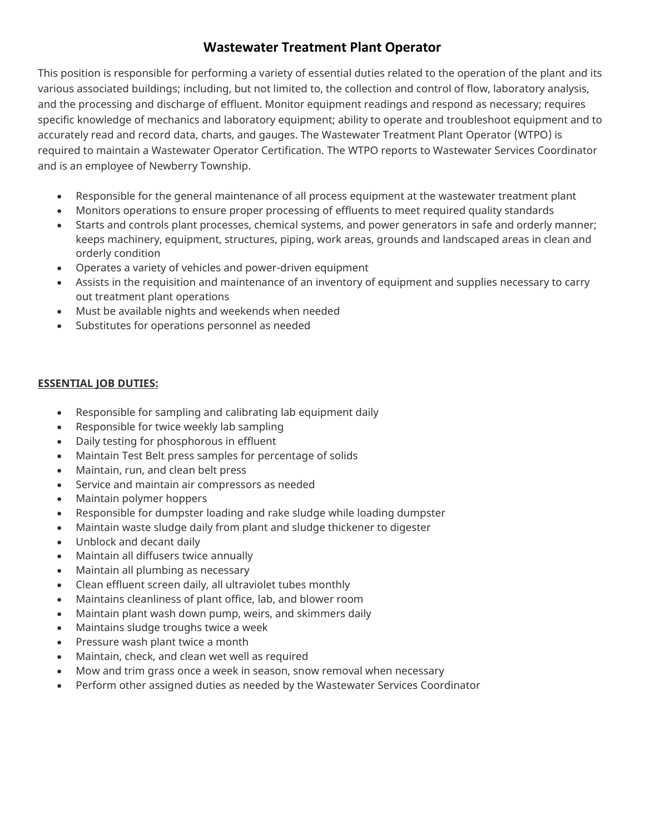# **Wastewater Treatment Plant Operator**

This position is responsible for performing a variety of essential duties related to the operation of the plant and its various associated buildings; including, but not limited to, the collection and control of flow, laboratory analysis, and the processing and discharge of effluent. Monitor equipment readings and respond as necessary; requires specific knowledge of mechanics and laboratory equipment; ability to operate and troubleshoot equipment and to accurately read and record data, charts, and gauges. The Wastewater Treatment Plant Operator (WTPO) is required to maintain a Wastewater Operator Certification. The WTPO reports to Wastewater Services Coordinator and is an employee of Newberry Township.

- Responsible for the general maintenance of all process equipment at the wastewater treatment plant
- Monitors operations to ensure proper processing of effluents to meet required quality standards
- Starts and controls plant processes, chemical systems, and power generators in safe and orderly manner; keeps machinery, equipment, structures, piping, work areas, grounds and landscaped areas in clean and orderly condition
- Operates a variety of vehicles and power-driven equipment
- Assists in the requisition and maintenance of an inventory of equipment and supplies necessary to carry out treatment plant operations
- Must be available nights and weekends when needed
- Substitutes for operations personnel as needed

## **ESSENTIAL JOB DUTIES:**

- Responsible for sampling and calibrating lab equipment daily
- Responsible for twice weekly lab sampling
- Daily testing for phosphorous in effluent
- Maintain Test Belt press samples for percentage of solids
- Maintain, run, and clean belt press
- Service and maintain air compressors as needed
- Maintain polymer hoppers
- Responsible for dumpster loading and rake sludge while loading dumpster
- Maintain waste sludge daily from plant and sludge thickener to digester
- Unblock and decant daily
- Maintain all diffusers twice annually
- Maintain all plumbing as necessary
- Clean effluent screen daily, all ultraviolet tubes monthly
- Maintains cleanliness of plant office, lab, and blower room
- Maintain plant wash down pump, weirs, and skimmers daily
- Maintains sludge troughs twice a week
- Pressure wash plant twice a month
- Maintain, check, and clean wet well as required
- Mow and trim grass once a week in season, snow removal when necessary
- Perform other assigned duties as needed by the Wastewater Services Coordinator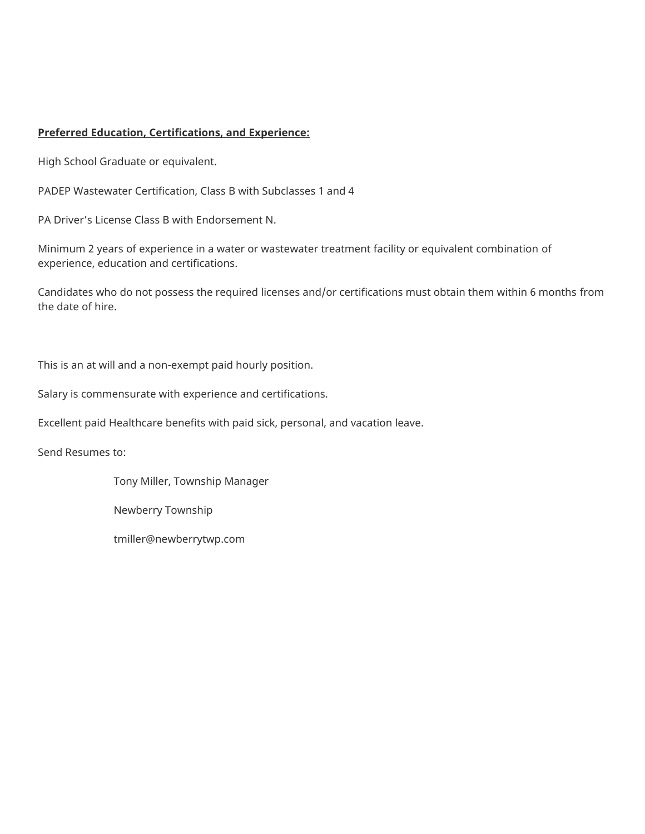### **Preferred Education, Certifications, and Experience:**

High School Graduate or equivalent.

PADEP Wastewater Certification, Class B with Subclasses 1 and 4

PA Driver's License Class B with Endorsement N.

Minimum 2 years of experience in a water or wastewater treatment facility or equivalent combination of experience, education and certifications.

Candidates who do not possess the required licenses and/or certifications must obtain them within 6 months from the date of hire.

This is an at will and a non-exempt paid hourly position.

Salary is commensurate with experience and certifications.

Excellent paid Healthcare benefits with paid sick, personal, and vacation leave.

Send Resumes to:

Tony Miller, Township Manager

Newberry Township

tmiller@newberrytwp.com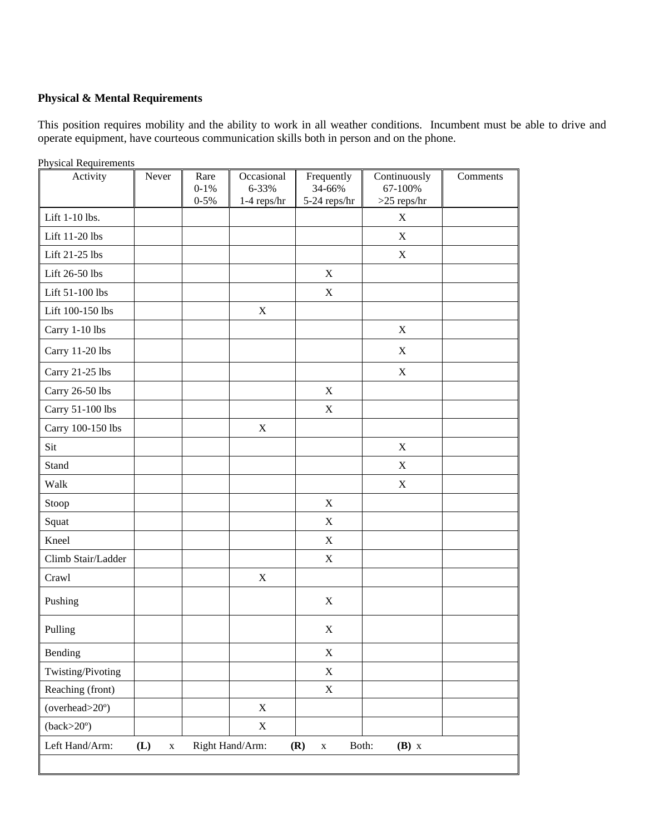# **Physical & Mental Requirements**

This position requires mobility and the ability to work in all weather conditions. Incumbent must be able to drive and operate equipment, have courteous communication skills both in person and on the phone.

| <b>Physical Requirements</b><br>Activity | Never              | Rare<br>$0 - 1\%$<br>$0 - 5\%$ | Occasional<br>6-33%<br>$1-4$ reps/hr | Frequently<br>34-66%<br>5-24 reps/hr | Continuously<br>67-100%<br>$>25$ reps/hr | Comments |
|------------------------------------------|--------------------|--------------------------------|--------------------------------------|--------------------------------------|------------------------------------------|----------|
| Lift 1-10 lbs.                           |                    |                                |                                      |                                      | $\mathbf X$                              |          |
| Lift 11-20 lbs                           |                    |                                |                                      |                                      | $\mathbf X$                              |          |
| Lift 21-25 lbs                           |                    |                                |                                      |                                      | $\mathbf X$                              |          |
| Lift 26-50 lbs                           |                    |                                |                                      | $\mathbf X$                          |                                          |          |
| Lift 51-100 lbs                          |                    |                                |                                      | $\mathbf X$                          |                                          |          |
| Lift 100-150 lbs                         |                    |                                | $\mathbf X$                          |                                      |                                          |          |
| Carry 1-10 lbs                           |                    |                                |                                      |                                      | $\mathbf X$                              |          |
| Carry 11-20 lbs                          |                    |                                |                                      |                                      | $\mathbf X$                              |          |
| Carry 21-25 lbs                          |                    |                                |                                      |                                      | $\mathbf X$                              |          |
| Carry 26-50 lbs                          |                    |                                |                                      | $\mathbf X$                          |                                          |          |
| Carry 51-100 lbs                         |                    |                                |                                      | $\mathbf X$                          |                                          |          |
| Carry 100-150 lbs                        |                    |                                | $\boldsymbol{\mathrm{X}}$            |                                      |                                          |          |
| Sit                                      |                    |                                |                                      |                                      | $\mathbf X$                              |          |
| Stand                                    |                    |                                |                                      |                                      | $\mathbf X$                              |          |
| Walk                                     |                    |                                |                                      |                                      | $\mathbf X$                              |          |
| Stoop                                    |                    |                                |                                      | $\mathbf X$                          |                                          |          |
| Squat                                    |                    |                                |                                      | $\mathbf X$                          |                                          |          |
| Kneel                                    |                    |                                |                                      | $\mathbf X$                          |                                          |          |
| Climb Stair/Ladder                       |                    |                                |                                      | $\mathbf X$                          |                                          |          |
| Crawl                                    |                    |                                | $\mathbf X$                          |                                      |                                          |          |
| Pushing                                  |                    |                                |                                      | $\mathbf X$                          |                                          |          |
| Pulling                                  |                    |                                |                                      | X                                    |                                          |          |
| Bending                                  |                    |                                |                                      | $\mathbf X$                          |                                          |          |
| Twisting/Pivoting                        |                    |                                |                                      | $\mathbf X$                          |                                          |          |
| Reaching (front)                         |                    |                                |                                      | $\mathbf X$                          |                                          |          |
| (overhead>20°)                           |                    |                                | $\mathbf X$                          |                                      |                                          |          |
| $(back>20^{\circ})$                      |                    |                                | $\mathbf X$                          |                                      |                                          |          |
| Left Hand/Arm:                           | (L)<br>$\mathbf X$ |                                | Right Hand/Arm:                      | Both:<br>(R)<br>$\mathbf X$          | $(B)$ x                                  |          |